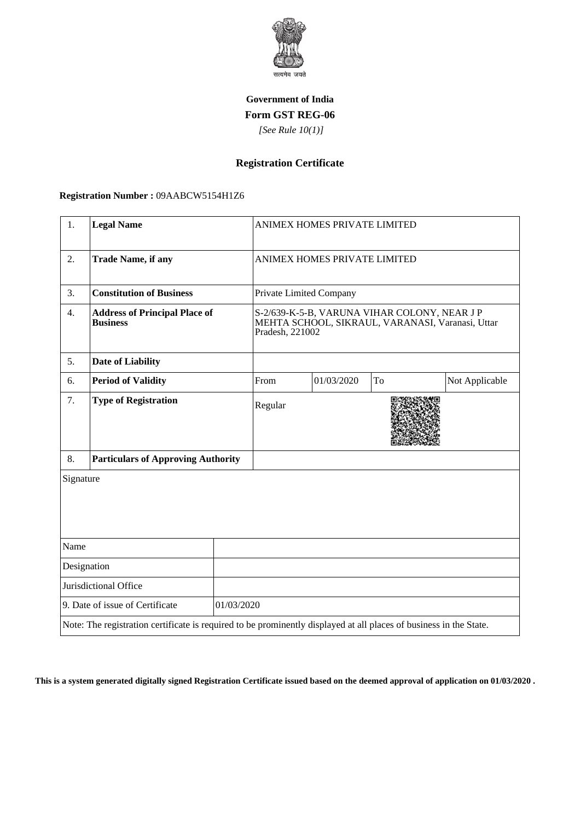

### **Government of India Form GST REG-06**

 *[See Rule 10(1)]*

# **Registration Certificate**

### **Registration Number :** 09AABCW5154H1Z6

| 1.                                            | <b>Legal Name</b>                                                                                                  |  | ANIMEX HOMES PRIVATE LIMITED                                                                                       |            |    |                |
|-----------------------------------------------|--------------------------------------------------------------------------------------------------------------------|--|--------------------------------------------------------------------------------------------------------------------|------------|----|----------------|
| 2.                                            | <b>Trade Name, if any</b>                                                                                          |  | ANIMEX HOMES PRIVATE LIMITED                                                                                       |            |    |                |
| 3.                                            | <b>Constitution of Business</b>                                                                                    |  | Private Limited Company                                                                                            |            |    |                |
| 4.                                            | <b>Address of Principal Place of</b><br><b>Business</b>                                                            |  | S-2/639-K-5-B, VARUNA VIHAR COLONY, NEAR JP<br>MEHTA SCHOOL, SIKRAUL, VARANASI, Varanasi, Uttar<br>Pradesh, 221002 |            |    |                |
| 5.                                            | <b>Date of Liability</b>                                                                                           |  |                                                                                                                    |            |    |                |
| 6.                                            | <b>Period of Validity</b>                                                                                          |  | From                                                                                                               | 01/03/2020 | To | Not Applicable |
| 7.                                            | <b>Type of Registration</b>                                                                                        |  | Regular                                                                                                            |            |    |                |
| 8.                                            | <b>Particulars of Approving Authority</b>                                                                          |  |                                                                                                                    |            |    |                |
| Signature                                     |                                                                                                                    |  |                                                                                                                    |            |    |                |
| Name                                          |                                                                                                                    |  |                                                                                                                    |            |    |                |
| Designation                                   |                                                                                                                    |  |                                                                                                                    |            |    |                |
| Jurisdictional Office                         |                                                                                                                    |  |                                                                                                                    |            |    |                |
| 9. Date of issue of Certificate<br>01/03/2020 |                                                                                                                    |  |                                                                                                                    |            |    |                |
|                                               | Note: The registration certificate is required to be prominently displayed at all places of business in the State. |  |                                                                                                                    |            |    |                |

**This is a system generated digitally signed Registration Certificate issued based on the deemed approval of application on 01/03/2020 .**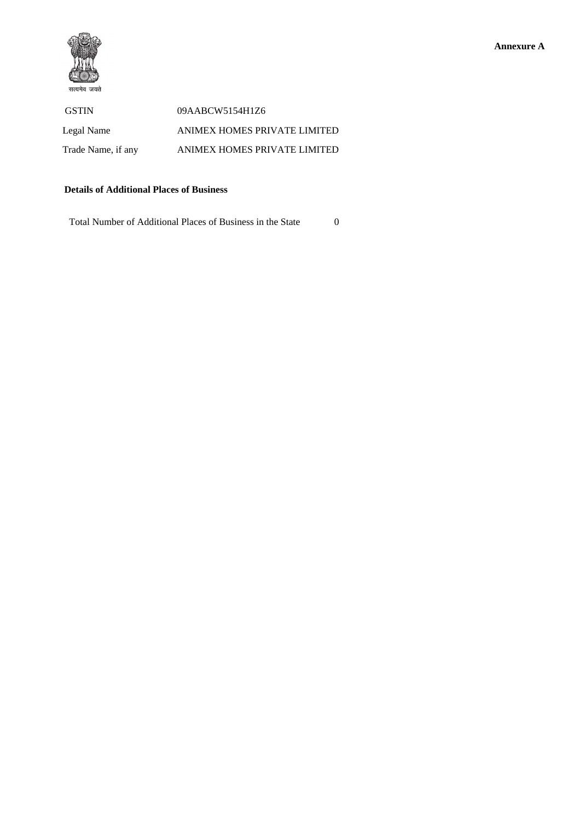

 GSTIN 09AABCW5154H1Z6 Legal Name ANIMEX HOMES PRIVATE LIMITED Trade Name, if any ANIMEX HOMES PRIVATE LIMITED

### **Details of Additional Places of Business**

Total Number of Additional Places of Business in the State 0